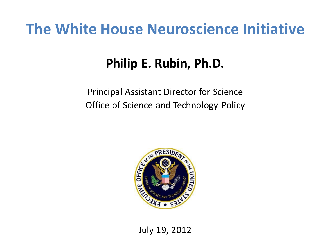## **The White House Neuroscience Initiative**

## **Philip E. Rubin, Ph.D.**

Principal Assistant Director for Science Office of Science and Technology Policy



July 19, 2012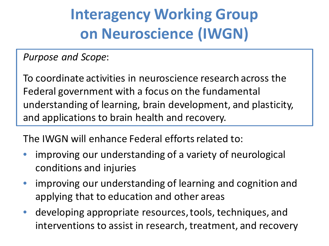## **Interagency Working Group on Neuroscience (IWGN)**

*Purpose and Scope*:

To coordinate activities in neuroscience research across the Federal government with a focus on the fundamental understanding of learning, brain development, and plasticity, and applications to brain health and recovery.

The IWGN will enhance Federal efforts related to:

- improving our understanding of a variety of neurological conditions and injuries
- improving our understanding of learning and cognition and applying that to education and other areas
- developing appropriate resources, tools, techniques, and interventions to assist in research, treatment, and recovery